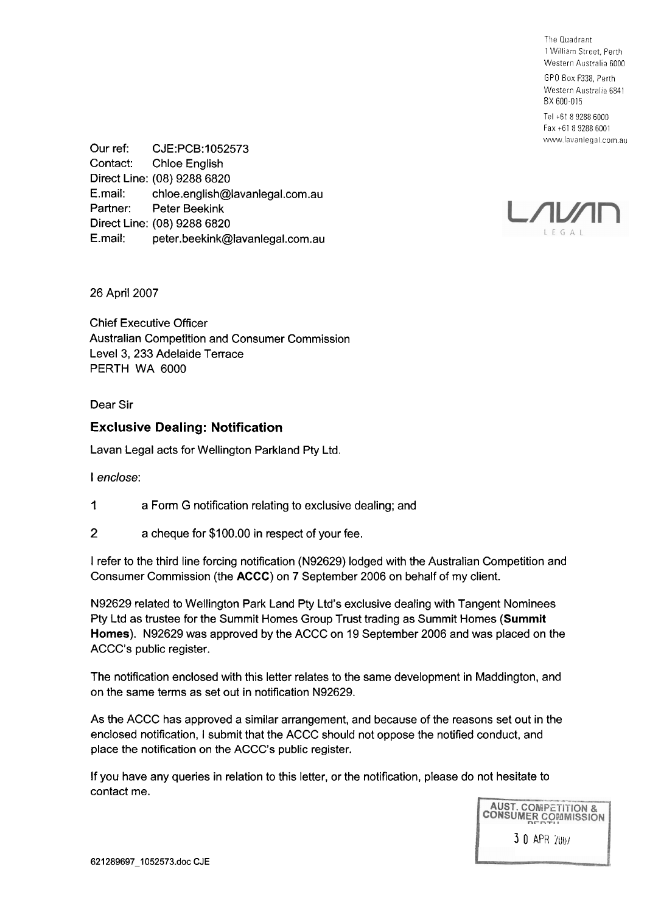The Quadrant 1 William Street, Perth Western Australia 6000 GPO Box F338. Perth

Western Australia 6841 BX 600-015

Tel +61 8 9288 6000 Fax +61 8 9288 6001 www.lavanlegal.com.au

Our ref: CJE:PCB:1052573 Contact: Chloe English Direct Line: (08) 9288 6820 E.mail: chloe.english@lavanlegal.com.au Partner: Peter Beekink Direct Line: (08) 9288 6820 E.mail: peter.beekink@lavanlegal.com.au



26 April 2007

Chief Executive Officer Australian Competition and Consumer Commission Level 3, 233 Adelaide Terrace PERTH WA 6000

Dear Sir

# **Exclusive Dealing: Notification**

Lavan Legal acts for Wellington Parkland Pty Ltd.

I enclose:

- 1 a Form G notification relating to exclusive dealing; and
- 2 a cheque for \$1 00.00 in respect of your fee.

I refer to the third line forcing notification (N92629) lodged with the Australian Competition and Consumer Commission (the **ACCC)** on 7 September 2006 on behalf of my client.

N92629 related to Wellington Park Land Pty Ltd's exclusive dealing with Tangent Nominees Pty Ltd as trustee for the Summit Homes Group Trust trading as Summit Homes **(Summit Homes).** N92629 was approved by the ACCC on 19 September 2006 and was placed on the ACCC's public register.

The notification enclosed with this letter relates to the same development in Maddington, and on the same terms as set out in notification N92629.

As the ACCC has approved a similar arrangement, and because of the reasons set out in the enclosed notification, I submit that the ACCC should not oppose the notified conduct, and place the notification on the ACCC's public register.

If you have any queries in relation to this letter, or the notification, please do not hesitate to contact me.

> **AUST. COMPETITION & CONSUMER COMMISSION 3 0** APH Iuu/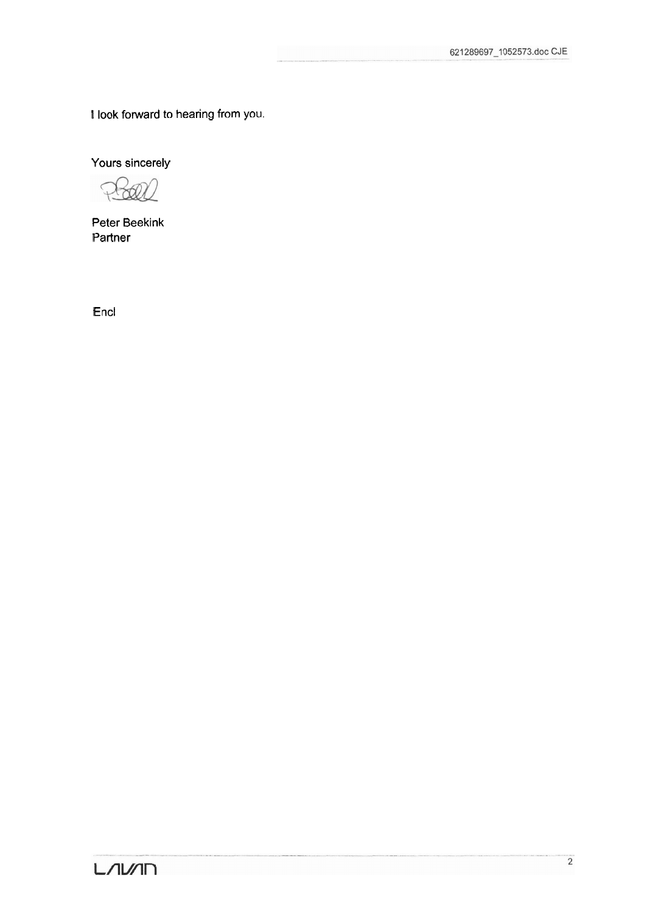I look forward to hearing from you.

Yours sincerely

 $\bigcap$ 

Peter Beekink Partner

Encl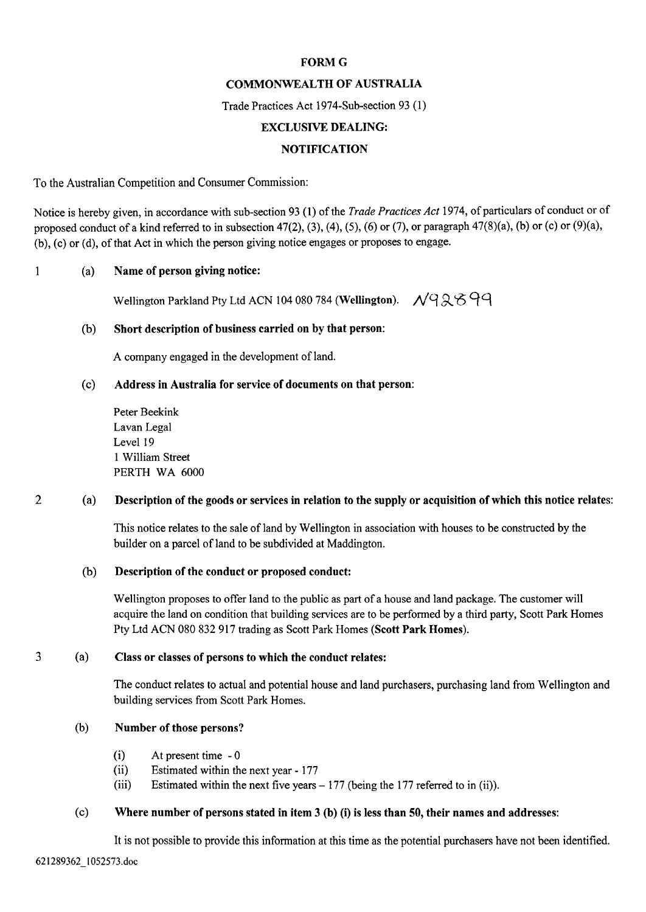### **FORM G**

## COMMONWEALTH OF AUSTRALIA

Trade Practices Act 1974-Sub-section 93 (1)

### EXCLUSIVE DEALING:

### NOTIFICATION

To the Australian Competition and Consumer Commission:

Notice is hereby given, in accordance with sub-section 93 (1) of the *Trade Practices Act* 1974, of particulars of conduct or of proposed conduct of a kind referred to in subsection 47(2), (3), (4), *(5),* (6) or (7), or paragraph 47(8)(a), (b) or (c) or (9)(a), (b), (c) or (d), of that Act in which the person giving notice engages or proposes to engage.

## 1 (a) Name of person giving notice:

wellington Parkland Pty Ltd ACN 104 080 784 (Wellington). *N*q 2 6 9 9

#### (b) Short description of business carried on by that person:

A company engaged in the development of land.

### (c) Address in Australia for service of documents on that person:

Peter Beekink Lavan Legal Level 19 1 William Street PERTH WA 6000

### 2 (a) Description of the goods or services in relation to the supply or acquisition of which this notice relates:

This notice relates to the sale of land by Wellington in association with houses to be constructed by the builder on a parcel of land to be subdivided at Maddington.

#### (b) Description of the conduct or proposed conduct:

Wellington proposes to offer land to the public as part of a house and land package. The customer will acquire the land on condition that building services are to be performed by a third party, Scott Park Homes Pty Ltd ACN 080 832 917 trading as Scott Park Homes (Scott Park Homes).

#### **3** (a) Class or classes of persons to which the conduct relates:

The conduct relates to actual and potential house and land purchasers, purchasing land from Wellington and building services from Scott Park Homes.

#### (b) Number of those persons?

- (i) At present time 0
- (ii) Estimated within the next year 177
- (iii) Estimated within the next five years  $-177$  (being the 177 referred to in (ii)).

### (c) Where number of persons stated in item 3 (b) (i) is less than 50, their names and addresses:

It is not possible to provide this information at this time as the potential purchasers have not been identified.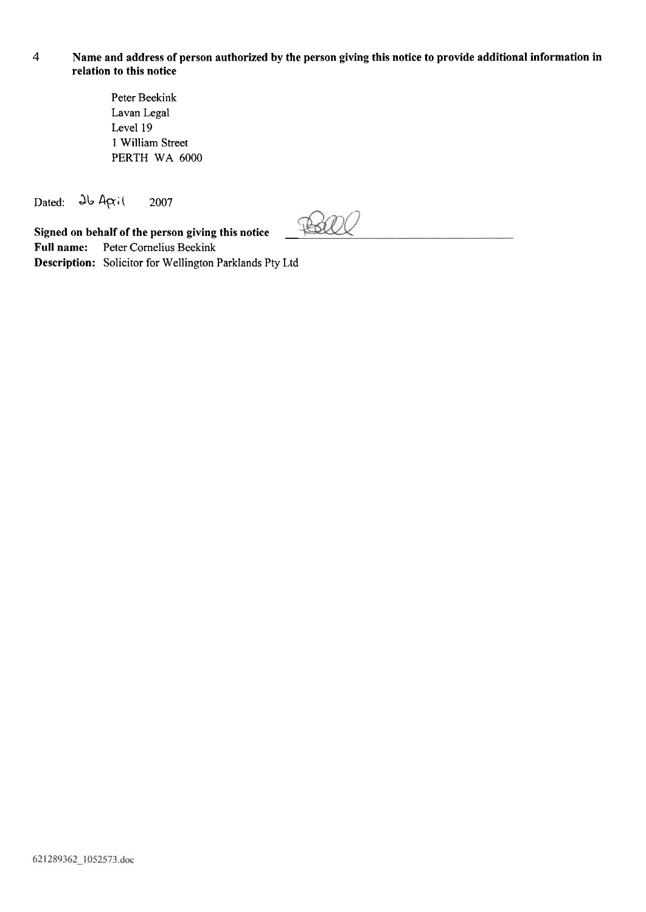## 4 **Name and address of person authorized by the person giving this notice to provide additional information in relation to this notice**

Peter Beekink Lavan Legal Level 19 1 William Street PERTH WA 6000

Dated:  $\partial b$  April 2007

**Signed on behalf of the person giving this notice Full name:** Peter Cornelius Beekink **Description:** Solicitor for Wellington Parklands Pty Ltd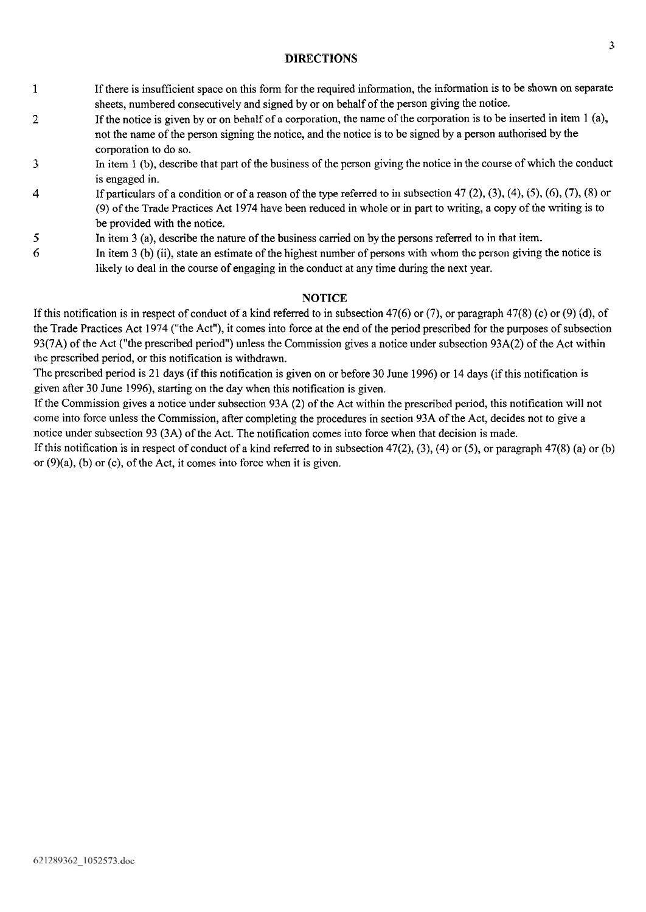## **DIRECTIONS**

- 1 If there is insufficient space on this form for the required information, the information is to be shown on separate sheets, numbered consecutively and signed by or on behalf of the person giving the notice.
- 2 If the notice is given by or on behalf of a corporation, the name of the corporation is to be inserted in item 1 (a), not the name of the person signing the notice, and the notice is to be signed by a person authorised by the corporation to do so.
- 3 In item 1 (b), describe that part of the business of the person giving the notice in the course of which the conduct is engaged in.
- 4 If particulars of a condition or of a reason of the type referred to in subsection 47 (2), (3), (4), *(5),* (6), (7), (8) or (9) of the Trade Practices Act 1974 have been reduced in whole or in part to writing, a copy of the writing is to be provided with the notice.
- **5** In item 3 (a), describe the nature of the business carried on by the persons referred to in that item.
- 6 In item 3 (b) (ii), state an estimate of the highest number of persons with whom the person giving the notice is likely to deal in the course of engaging in the conduct at any time during the next year.

## **NOTICE**

If this notification is in respect of conduct of a kind referred to in subsection 47(6) or (7), or paragraph 47(8) (c) or (9) (d), of the Trade Practices Act 1974 ("the Act"), it comes into force at the end of the period prescribed for the purposes of subsection 93(7A) of the Act ("the prescribed period") unless the Commission gives a notice under subsection 93A(2) of the Act within the prescribed period, or this notification is withdrawn.

The prescribed period is 21 days (if this notification is given on or before 30 June 1996) or 14 days (if this notification is given after 30 June 1996), starting on the day when this notification is given.

If the Commission gives a notice under subsection 93A (2) of the Act within the prescribed period, this notification will not come into force unless the Commission, after completing the procedures in section 93A of the Act, decides not to give a notice under subsection 93 (3A) of the Act. The notification comes into force when that decision is made.

If this notification is in respect of conduct of a kind referred to in subsection 47(2), **(3),** (4) or **(5),** or paragraph 47(8) (a) or (b) or  $(9)(a)$ ,  $(b)$  or  $(c)$ , of the Act, it comes into force when it is given.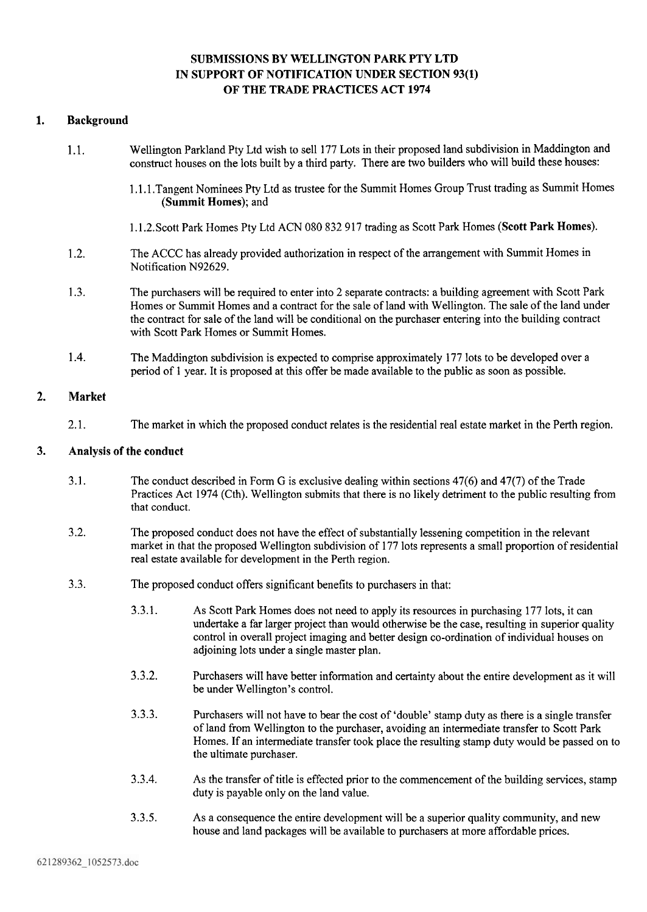# SUBMISSIONS BY WELLINGTON PARK PTY LTD IN SUPPORT OF NOTIFICATION UNDER SECTION **93(1)**  OF THE TRADE PRACTICES ACT **1974**

## **1.** Background

- 1.1. Wellington Parkland Pty Ltd wish to sell 177 Lots in their proposed land subdivision in Maddington and construct houses on the lots built by a third party. There are two builders who will build these houses:
	- 1.1.1 .Tangent Nominees Pty Ltd as trustee for the Summit Homes Group Trust trading as Summit Homes (Summit Homes); and
	- 1.1.2.Scott Park Homes Pty Ltd ACN 080 832 917 trading as Scott Park Homes (Scott Park Homes).
- 1.2. The ACCC has already provided authorization in respect of the arrangement with Summit Homes in Notification N92629.
- 1.3. The purchasers will be required to enter into 2 separate contracts: a building agreement with Scott Park Homes or Summit Homes and a contract for the sale of land with Wellington. The sale of the land under the contract for sale of the land will be conditional on the purchaser entering into the building contract with Scott Park Homes or Summit Homes.
- 1.4. The Maddington subdivision is expected to comprise approximately 177 lots to be developed over a period of 1 year. It is proposed at this offer be made available to the public as soon as possible.

#### **2.** Market

2.1. The market in which the proposed conduct relates is the residential real estate market in the Perth region.

#### **3.** Analysis of the conduct

- 3.1. The conduct described in Form *G* is exclusive dealing within sections 47(6) and 47(7) of the Trade Practices Act 1974 (Cth). Wellington submits that there is no likely detriment to the public resulting from that conduct.
- 3.2. The proposed conduct does not have the effect of substantially lessening competition in the relevant market in that the proposed Wellington subdivision of 177 lots represents a small proportion of residential real estate available for development in the Perth region.
- 3.3. The proposed conduct offers significant benefits to purchasers in that:
	- 3.3.1. As Scott Park Homes does not need to apply its resources in purchasing 177 lots, it can undertake a far larger project than would otherwise be the case, resulting in superior quality control in overall project imaging and better design co-ordination of individual houses on adjoining lots under a single master plan.
	- 3.3.2. Purchasers will have better information and certainty about the entire development as it will be under Wellington's control.
	- 3.3.3. Purchasers will not have to bear the cost of 'double' stamp duty as there is a single transfer of land from Wellington to the purchaser, avoiding an intermediate transfer to Scott Park Homes. If an intermediate transfer took place the resulting stamp duty would be passed on to the ultimate purchaser.
	- 3.3.4. As the transfer of title is effected prior to the commencement of the building services, stamp duty is payable only on the land value.
	- 3.3.5. As a consequence the entire development will be a superior quality community, and new house and land packages will be available to purchasers at more affordable prices.